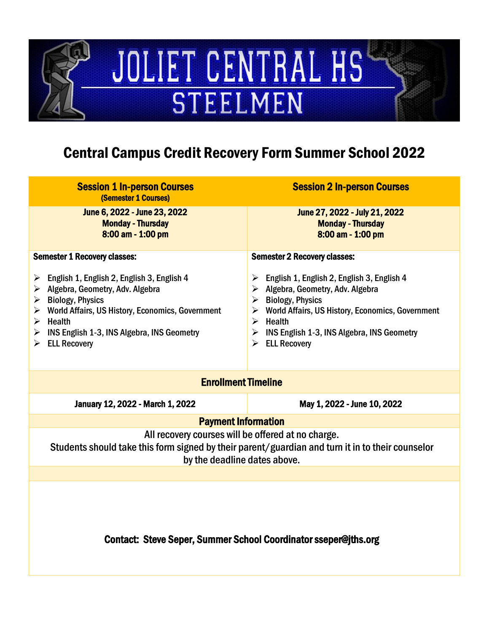# JOLIET CENTRAL HS **STEELMEN**

### Central Campus Credit Recovery Form Summer School 2022

| <b>Session 1 In-person Courses</b><br>(Semester 1 Courses)                                                                                                                                                                                                                                                                            | <b>Session 2 In-person Courses</b>                                                                                                                                                                                                                                                                                                       |  |
|---------------------------------------------------------------------------------------------------------------------------------------------------------------------------------------------------------------------------------------------------------------------------------------------------------------------------------------|------------------------------------------------------------------------------------------------------------------------------------------------------------------------------------------------------------------------------------------------------------------------------------------------------------------------------------------|--|
| June 6, 2022 - June 23, 2022<br><b>Monday - Thursday</b><br>8:00 am - 1:00 pm                                                                                                                                                                                                                                                         | June 27, 2022 - July 21, 2022<br><b>Monday - Thursday</b><br>8:00 am - 1:00 pm                                                                                                                                                                                                                                                           |  |
| <b>Semester 1 Recovery classes:</b>                                                                                                                                                                                                                                                                                                   | <b>Semester 2 Recovery classes:</b>                                                                                                                                                                                                                                                                                                      |  |
| > English 1, English 2, English 3, English 4<br>$\triangleright$ Algebra, Geometry, Adv. Algebra<br>$\triangleright$ Biology, Physics<br>$\triangleright$ World Affairs, US History, Economics, Government<br>$\triangleright$ Health<br>$\triangleright$ INS English 1-3, INS Algebra, INS Geometry<br>$\triangleright$ ELL Recovery | English 1, English 2, English 3, English 4<br>➤<br>$\triangleright$ Algebra, Geometry, Adv. Algebra<br>$\triangleright$ Biology, Physics<br>$\triangleright$ World Affairs, US History, Economics, Government<br>$\triangleright$ Health<br>$\triangleright$ INS English 1-3, INS Algebra, INS Geometry<br>$\triangleright$ ELL Recovery |  |
| <b>Enrollment Timeline</b>                                                                                                                                                                                                                                                                                                            |                                                                                                                                                                                                                                                                                                                                          |  |
| January 12, 2022 - March 1, 2022                                                                                                                                                                                                                                                                                                      | May 1, 2022 - June 10, 2022                                                                                                                                                                                                                                                                                                              |  |
| <b>Payment Information</b>                                                                                                                                                                                                                                                                                                            |                                                                                                                                                                                                                                                                                                                                          |  |
| All recovery courses will be offered at no charge.<br>Students should take this form signed by their parent/guardian and turn it in to their counselor<br>by the deadline dates above.                                                                                                                                                |                                                                                                                                                                                                                                                                                                                                          |  |
|                                                                                                                                                                                                                                                                                                                                       |                                                                                                                                                                                                                                                                                                                                          |  |
| <b>Contact: Steve Seper, Summer School Coordinator sseper@jths.org</b>                                                                                                                                                                                                                                                                |                                                                                                                                                                                                                                                                                                                                          |  |